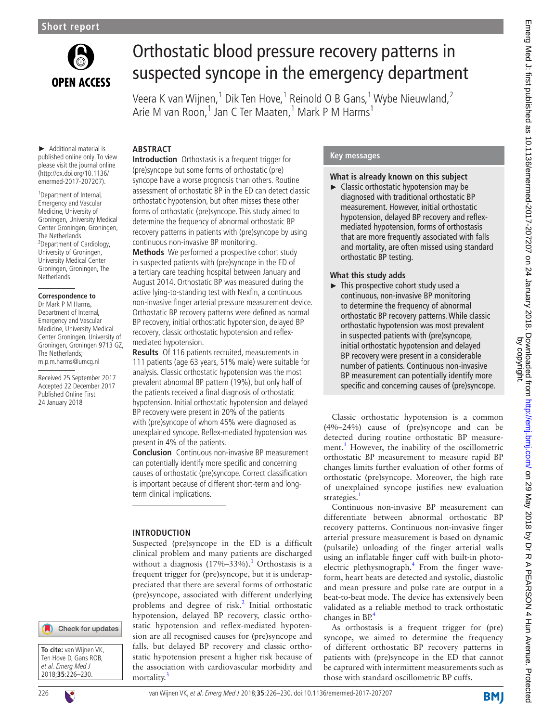

# Orthostatic blood pressure recovery patterns in suspected syncope in the emergency department

Veera K van Wijnen,<sup>1</sup> Dik Ten Hove,<sup>1</sup> Reinold O B Gans,<sup>1</sup> Wybe Nieuwland,<sup>2</sup> Arie M van Roon,<sup>1</sup> Jan C Ter Maaten,<sup>1</sup> Mark P M Harms<sup>1</sup>

► Additional material is published online only. To view please visit the journal online (http://dx.doi.org/10.1136/ emermed-2017-207207).

<sup>1</sup>Department of Internal, Emergency and Vascular Medicine, University of Groningen, University Medical Center Groningen, Groningen, The Netherlands <sup>2</sup>Department of Cardiology, University of Groningen, University Medical Center Groningen, Groningen, The **Netherlands** 

#### **Correspondence to**

Dr Mark P M Harms, Department of Internal, Emergency and Vascular Medicine, University Medical Center Groningen, University of Groningen, Groningen 9713 GZ, The Netherlands; m.p.m.harms@umcg.nl

Received 25 September 2017 Accepted 22 December 2017 Published Online First 24 January 2018

**Abstract**

**Introduction** Orthostasis is a frequent trigger for (pre)syncope but some forms of orthostatic (pre) syncope have a worse prognosis than others. Routine assessment of orthostatic BP in the ED can detect classic orthostatic hypotension, but often misses these other forms of orthostatic (pre)syncope. This study aimed to determine the frequency of abnormal orthostatic BP recovery patterns in patients with (pre)syncope by using continuous non-invasive BP monitoring.

**Methods** We performed a prospective cohort study in suspected patients with (pre)syncope in the ED of a tertiary care teaching hospital between January and August 2014. Orthostatic BP was measured during the active lying-to-standing test with Nexfin, a continuous non-invasive finger arterial pressure measurement device. Orthostatic BP recovery patterns were defined as normal BP recovery, initial orthostatic hypotension, delayed BP recovery, classic orthostatic hypotension and reflexmediated hypotension.

**Results** Of 116 patients recruited, measurements in 111 patients (age 63 years, 51% male) were suitable for analysis. Classic orthostatic hypotension was the most prevalent abnormal BP pattern (19%), but only half of the patients received a final diagnosis of orthostatic hypotension. Initial orthostatic hypotension and delayed BP recovery were present in 20% of the patients with (pre)syncope of whom 45% were diagnosed as unexplained syncope. Reflex-mediated hypotension was present in 4% of the patients.

**Conclusion** Continuous non-invasive BP measurement can potentially identify more specific and concerning causes of orthostatic (pre)syncope. Correct classification is important because of different short-term and longterm clinical implications.

### **Introduction**

Suspected (pre)syncope in the ED is a difficult clinical problem and many patients are discharged without a diagnosis  $(17\%-33\%)$  $(17\%-33\%)$  $(17\%-33\%)$ .<sup>1</sup> Orthostasis is a frequent trigger for (pre)syncope, but it is underappreciated that there are several forms of orthostatic (pre)syncope, associated with different underlying problems and degree of risk.<sup>[2](#page-3-1)</sup> Initial orthostatic hypotension, delayed BP recovery, classic orthostatic hypotension and reflex-mediated hypotension are all recognised causes for (pre)syncope and falls, but delayed BP recovery and classic orthostatic hypotension present a higher risk because of the association with cardiovascular morbidity and mortality.

### **Key messages**

### **What is already known on this subject**

► Classic orthostatic hypotension may be diagnosed with traditional orthostatic BP measurement. However, initial orthostatic hypotension, delayed BP recovery and reflexmediated hypotension, forms of orthostasis that are more frequently associated with falls and mortality, are often missed using standard orthostatic BP testing.

#### **What this study adds**

► This prospective cohort study used a continuous, non-invasive BP monitoring to determine the frequency of abnormal orthostatic BP recovery patterns. While classic orthostatic hypotension was most prevalent in suspected patients with (pre)syncope, initial orthostatic hypotension and delayed BP recovery were present in a considerable number of patients. Continuous non-invasive BP measurement can potentially identify more specific and concerning causes of (pre)syncope.

Classic orthostatic hypotension is a common (4%–24%) cause of (pre)syncope and can be detected during routine orthostatic BP measure-ment.<sup>[1](#page-3-0)</sup> However, the inability of the oscillometric orthostatic BP measurement to measure rapid BP changes limits further evaluation of other forms of orthostatic (pre)syncope. Moreover, the high rate of unexplained syncope justifies new evaluation strategies.<sup>[1](#page-3-0)</sup>

Continuous non-invasive BP measurement can differentiate between abnormal orthostatic BP recovery patterns. Continuous non-invasive finger arterial pressure measurement is based on dynamic (pulsatile) unloading of the finger arterial walls using an inflatable finger cuff with built-in photo-electric plethysmograph.<sup>[4](#page-3-3)</sup> From the finger waveform, heart beats are detected and systolic, diastolic and mean pressure and pulse rate are output in a beat-to-beat mode. The device has extensively been validated as a reliable method to track orthostatic changes in  $BP^4$  $BP^4$ 

As orthostasis is a frequent trigger for (pre) syncope, we aimed to determine the frequency of different orthostatic BP recovery patterns in patients with (pre)syncope in the ED that cannot be captured with intermittent measurements such as those with standard oscillometric BP cuffs.

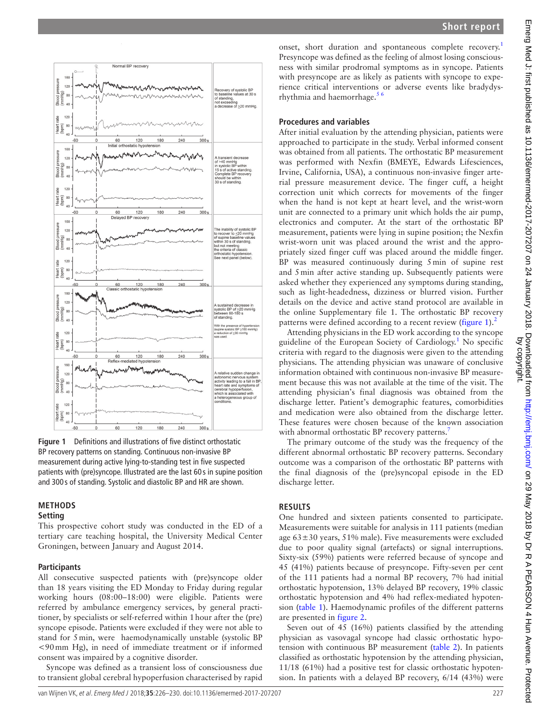

<span id="page-1-0"></span>**Figure 1** Definitions and illustrations of five distinct orthostatic BP recovery patterns on standing. Continuous non-invasive BP measurement during active lying-to-standing test in five suspected patients with (pre)syncope. Illustrated are the last 60 s in supine position and 300 s of standing. Systolic and diastolic BP and HR are shown.

#### **Methods**

#### **Setting**

This prospective cohort study was conducted in the ED of a tertiary care teaching hospital, the University Medical Center Groningen, between January and August 2014.

#### **Participants**

All consecutive suspected patients with (pre)syncope older than 18 years visiting the ED Monday to Friday during regular working hours (08:00–18:00) were eligible. Patients were referred by ambulance emergency services, by general practitioner, by specialists or self-referred within 1hour after the (pre) syncope episode. Patients were excluded if they were not able to stand for 5min, were haemodynamically unstable (systolic BP <90mm Hg), in need of immediate treatment or if informed consent was impaired by a cognitive disorder.

Syncope was defined as a transient loss of consciousness due to transient global cerebral hypoperfusion characterised by rapid

onset, short duration and spontaneous complete recovery.<sup>[1](#page-3-0)</sup> Presyncope was defined as the feeling of almost losing consciousness with similar prodromal symptoms as in syncope. Patients with presyncope are as likely as patients with syncope to experience critical interventions or adverse events like bradydysrhythmia and haemorrhage.<sup>56</sup>

#### **Procedures and variables**

After initial evaluation by the attending physician, patients were approached to participate in the study. Verbal informed consent was obtained from all patients. The orthostatic BP measurement was performed with Nexfin (BMEYE, Edwards Lifesciences, Irvine, California, USA), a continuous non-invasive finger arterial pressure measurement device. The finger cuff, a height correction unit which corrects for movements of the finger when the hand is not kept at heart level, and the wrist-worn unit are connected to a primary unit which holds the air pump, electronics and computer. At the start of the orthostatic BP measurement, patients were lying in supine position; the Nexfin wrist-worn unit was placed around the wrist and the appropriately sized finger cuff was placed around the middle finger. BP was measured continuously during 5min of supine rest and 5min after active standing up. Subsequently patients were asked whether they experienced any symptoms during standing, such as light-headedness, dizziness or blurred vision. Further details on the device and active stand protocol are available in the online [Supplementary file](https://dx.doi.org/10.1136/emermed-2017-207207) 1. The orthostatic BP recovery patterns were defined according to a recent review  $(figure 1)<sup>2</sup>$  $(figure 1)<sup>2</sup>$  $(figure 1)<sup>2</sup>$ 

Attending physicians in the ED work according to the syncope guideline of the European Society of Cardiology.<sup>[1](#page-3-0)</sup> No specific criteria with regard to the diagnosis were given to the attending physicians. The attending physician was unaware of conclusive information obtained with continuous non-invasive BP measurement because this was not available at the time of the visit. The attending physician's final diagnosis was obtained from the discharge letter. Patient's demographic features, comorbidities and medication were also obtained from the discharge letter. These features were chosen because of the known association with abnormal orthostatic BP recovery patterns.<sup>[7](#page-4-0)</sup>

The primary outcome of the study was the frequency of the different abnormal orthostatic BP recovery patterns. Secondary outcome was a comparison of the orthostatic BP patterns with the final diagnosis of the (pre)syncopal episode in the ED discharge letter.

## **Results**

One hundred and sixteen patients consented to participate. Measurements were suitable for analysis in 111 patients (median age 63±30 years, 51% male). Five measurements were excluded due to poor quality signal (artefacts) or signal interruptions. Sixty-six (59%) patients were referred because of syncope and 45 (41%) patients because of presyncope. Fifty-seven per cent of the 111 patients had a normal BP recovery, 7% had initial orthostatic hypotension, 13% delayed BP recovery, 19% classic orthostatic hypotension and 4% had reflex-mediated hypotension ([table](#page-2-0) 1). Haemodynamic profiles of the different patterns are presented in [figure](#page-2-1) 2.

Seven out of 45 (16%) patients classified by the attending physician as vasovagal syncope had classic orthostatic hypotension with continuous BP measurement ([table](#page-3-5) 2). In patients classified as orthostatic hypotension by the attending physician, 11/18 (61%) had a positive test for classic orthostatic hypotension. In patients with a delayed BP recovery, 6/14 (43%) were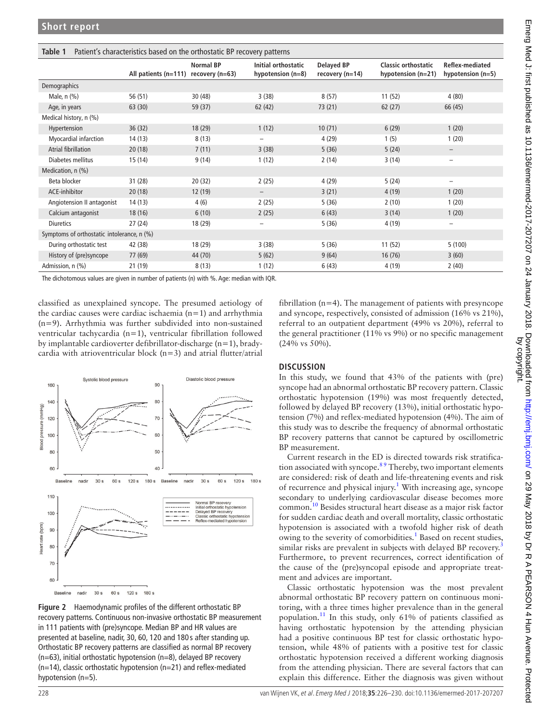<span id="page-2-0"></span>

| Patient's characteristics based on the orthostatic BP recovery patterns<br>Table 1 |                      |                                     |                                            |                                        |                                                    |                                               |  |  |  |  |
|------------------------------------------------------------------------------------|----------------------|-------------------------------------|--------------------------------------------|----------------------------------------|----------------------------------------------------|-----------------------------------------------|--|--|--|--|
|                                                                                    | All patients (n=111) | <b>Normal BP</b><br>recovery (n=63) | Initial orthostatic<br>hypotension $(n=8)$ | <b>Delayed BP</b><br>recovery $(n=14)$ | <b>Classic orthostatic</b><br>hypotension $(n=21)$ | <b>Reflex-mediated</b><br>hypotension $(n=5)$ |  |  |  |  |
| Demographics                                                                       |                      |                                     |                                            |                                        |                                                    |                                               |  |  |  |  |
| Male, $n$ $(\%)$                                                                   | 56 (51)              | 30(48)                              | 3(38)                                      | 8(57)                                  | 11(52)                                             | 4(80)                                         |  |  |  |  |
| Age, in years                                                                      | 63(30)               | 59 (37)                             | 62 (42)                                    | 73(21)                                 | 62(27)                                             | 66 (45)                                       |  |  |  |  |
| Medical history, n (%)                                                             |                      |                                     |                                            |                                        |                                                    |                                               |  |  |  |  |
| Hypertension                                                                       | 36(32)               | 18 (29)                             | 1(12)                                      | 10(71)                                 | 6(29)                                              | 1(20)                                         |  |  |  |  |
| Myocardial infarction                                                              | 14(13)               | 8(13)                               | $\overline{\phantom{m}}$                   | 4 (29)                                 | 1(5)                                               | 1(20)                                         |  |  |  |  |
| Atrial fibrillation                                                                | 20(18)               | 7(11)                               | 3(38)                                      | 5(36)                                  | 5(24)                                              | $\overline{\phantom{m}}$                      |  |  |  |  |
| Diabetes mellitus                                                                  | 15 (14)              | 9(14)                               | 1(12)                                      | 2(14)                                  | 3(14)                                              | $\overline{\phantom{0}}$                      |  |  |  |  |
| Medication, n (%)                                                                  |                      |                                     |                                            |                                        |                                                    |                                               |  |  |  |  |
| Beta blocker                                                                       | 31(28)               | 20(32)                              | 2(25)                                      | 4(29)                                  | 5(24)                                              | $\qquad \qquad -$                             |  |  |  |  |
| ACE-inhibitor                                                                      | 20(18)               | 12(19)                              | $\overline{\phantom{a}}$                   | 3(21)                                  | 4(19)                                              | 1(20)                                         |  |  |  |  |
| Angiotension II antagonist                                                         | 14(13)               | 4(6)                                | 2(25)                                      | 5(36)                                  | 2(10)                                              | 1(20)                                         |  |  |  |  |
| Calcium antagonist                                                                 | 18(16)               | 6(10)                               | 2(25)                                      | 6(43)                                  | 3(14)                                              | 1(20)                                         |  |  |  |  |
| <b>Diuretics</b>                                                                   | 27(24)               | 18 (29)                             | $\overline{\phantom{m}}$                   | 5(36)                                  | 4 (19)                                             | $\qquad \qquad -$                             |  |  |  |  |
| Symptoms of orthostatic intolerance, n (%)                                         |                      |                                     |                                            |                                        |                                                    |                                               |  |  |  |  |
| During orthostatic test                                                            | 42 (38)              | 18 (29)                             | 3(38)                                      | 5(36)                                  | 11(52)                                             | 5(100)                                        |  |  |  |  |
| History of (pre)syncope                                                            | 77 (69)              | 44 (70)                             | 5(62)                                      | 9(64)                                  | 16(76)                                             | 3(60)                                         |  |  |  |  |
| Admission, n (%)                                                                   | 21 (19)              | 8(13)                               | 1(12)                                      | 6(43)                                  | 4 (19)                                             | 2(40)                                         |  |  |  |  |

The dichotomous values are given in number of patients (n) with %. Age: median with IQR.

classified as unexplained syncope. The presumed aetiology of the cardiac causes were cardiac ischaemia  $(n=1)$  and arrhythmia (n=9). Arrhythmia was further subdivided into non-sustained ventricular tachycardia (n=1), ventricular fibrillation followed by implantable cardioverter defibrillator-discharge (n=1), bradycardia with atrioventricular block  $(n=3)$  and atrial flutter/atrial



<span id="page-2-1"></span>**Figure 2** Haemodynamic profiles of the different orthostatic BP recovery patterns. Continuous non-invasive orthostatic BP measurement in 111 patients with (pre)syncope. Median BP and HR values are presented at baseline, nadir, 30, 60, 120 and 180 s after standing up. Orthostatic BP recovery patterns are classified as normal BP recovery  $(n=63)$ , initial orthostatic hypotension  $(n=8)$ , delayed BP recovery (n=14), classic orthostatic hypotension (n=21) and reflex-mediated hypotension (n=5).

fibrillation (n=4). The management of patients with presyncope and syncope, respectively, consisted of admission (16% vs 21%), referral to an outpatient department (49% vs 20%), referral to the general practitioner (11% vs 9%) or no specific management (24% vs 50%).

## **Discussion**

In this study, we found that 43% of the patients with (pre) syncope had an abnormal orthostatic BP recovery pattern. Classic orthostatic hypotension (19%) was most frequently detected, followed by delayed BP recovery (13%), initial orthostatic hypotension (7%) and reflex-mediated hypotension (4%). The aim of this study was to describe the frequency of abnormal orthostatic BP recovery patterns that cannot be captured by oscillometric BP measurement.

Current research in the ED is directed towards risk stratification associated with syncope.<sup>89</sup> Thereby, two important elements are considered: risk of death and life-threatening events and risk of recurrence and physical injury.<sup>1</sup> With increasing age, syncope secondary to underlying cardiovascular disease becomes more common.[10](#page-4-2) Besides structural heart disease as a major risk factor for sudden cardiac death and overall mortality, classic orthostatic hypotension is associated with a twofold higher risk of death owing to the severity of comorbidities.<sup>1</sup> Based on recent studies, similar risks are prevalent in subjects with delayed BP recovery.<sup>[3](#page-3-2)</sup> Furthermore, to prevent recurrences, correct identification of the cause of the (pre)syncopal episode and appropriate treatment and advices are important.

Classic orthostatic hypotension was the most prevalent abnormal orthostatic BP recovery pattern on continuous monitoring, with a three times higher prevalence than in the general population.[11](#page-4-3) In this study, only 61% of patients classified as having orthostatic hypotension by the attending physician had a positive continuous BP test for classic orthostatic hypotension, while 48% of patients with a positive test for classic orthostatic hypotension received a different working diagnosis from the attending physician. There are several factors that can explain this difference. Either the diagnosis was given without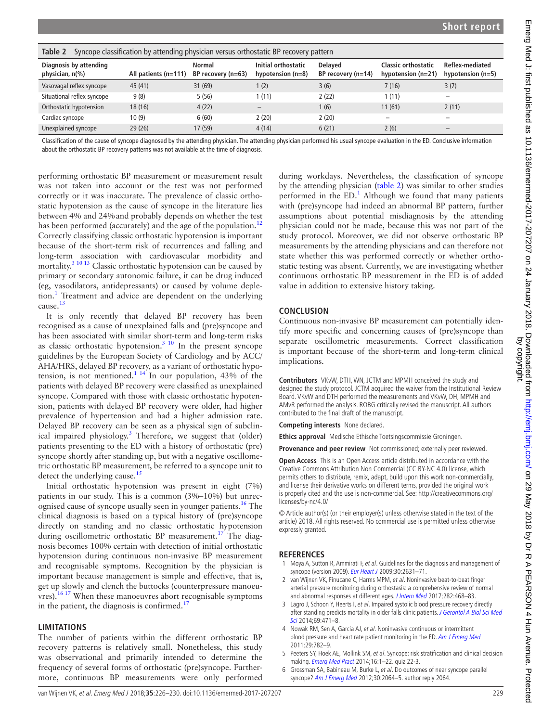| Taple 2<br>Syncope classification by attending physician versus orthostatic BP recovery pattern |                        |                              |                                            |                                        |                                                    |                                        |  |  |  |  |
|-------------------------------------------------------------------------------------------------|------------------------|------------------------------|--------------------------------------------|----------------------------------------|----------------------------------------------------|----------------------------------------|--|--|--|--|
| Diagnosis by attending<br>physician, $n\ll 0$                                                   | All patients $(n=111)$ | Normal<br>BP recovery (n=63) | Initial orthostatic<br>hypotension $(n=8)$ | <b>Delaved</b><br>BP recovery $(n=14)$ | <b>Classic orthostatic</b><br>hypotension $(n=21)$ | Reflex-mediated<br>hypotension $(n=5)$ |  |  |  |  |
| Vasovagal reflex syncope                                                                        | 45 (41)                | 31(69)                       | 1(2)                                       | 3(6)                                   | 7(16)                                              | 3(7)                                   |  |  |  |  |
| Situational reflex syncope                                                                      | 9(8)                   | 5(56)                        | 1 (11)                                     | 2(22)                                  | 1(11)                                              | $\overline{\phantom{m}}$               |  |  |  |  |
| Orthostatic hypotension                                                                         | 18 (16)                | 4(22)                        |                                            | (6)                                    | 11(61)                                             | 2(11)                                  |  |  |  |  |
| Cardiac syncope                                                                                 | 10(9)                  | 6(60)                        | 2(20)                                      | 2(20)                                  | $\overline{\phantom{m}}$                           | $\overline{\phantom{m}}$               |  |  |  |  |
| Unexplained syncope                                                                             | 29 (26)                | 17 (59)                      | 4(14)                                      | 6(21)                                  | 2(6)                                               |                                        |  |  |  |  |

<span id="page-3-5"></span>**Table 2** Syncope classification by attending physician versus orthostatic BP recovery pattern

Classification of the cause of syncope diagnosed by the attending physician. The attending physician performed his usual syncope evaluation in the ED. Conclusive information about the orthostatic BP recovery patterns was not available at the time of diagnosis.

performing orthostatic BP measurement or measurement result was not taken into account or the test was not performed correctly or it was inaccurate. The prevalence of classic orthostatic hypotension as the cause of syncope in the literature lies between 4% and 24%and probably depends on whether the test has been performed (accurately) and the age of the population.<sup>[12](#page-4-4)</sup> Correctly classifying classic orthostatic hypotension is important because of the short-term risk of recurrences and falling and long-term association with cardiovascular morbidity and mortality.[3 10 13](#page-3-2) Classic orthostatic hypotension can be caused by primary or secondary autonomic failure, it can be drug induced (eg, vasodilators, antidepressants) or caused by volume deple-tion.<sup>[1](#page-3-0)</sup> Treatment and advice are dependent on the underlying cause.<sup>13</sup>

It is only recently that delayed BP recovery has been recognised as a cause of unexplained falls and (pre)syncope and has been associated with similar short-term and long-term risks as classic orthostatic hypotension. $3 \times 10$  In the present syncope guidelines by the European Society of Cardiology and by ACC/ AHA/HRS, delayed BP recovery, as a variant of orthostatic hypotension, is not mentioned.<sup>1 14</sup> In our population, 43% of the patients with delayed BP recovery were classified as unexplained syncope. Compared with those with classic orthostatic hypotension, patients with delayed BP recovery were older, had higher prevalence of hypertension and had a higher admission rate. Delayed BP recovery can be seen as a physical sign of subclin-ical impaired physiology.<sup>[3](#page-3-2)</sup> Therefore, we suggest that (older) patients presenting to the ED with a history of orthostatic (pre) syncope shortly after standing up, but with a negative oscillometric orthostatic BP measurement, be referred to a syncope unit to detect the underlying cause.<sup>15</sup>

Initial orthostatic hypotension was present in eight (7%) patients in our study. This is a common (3%–10%) but unrecognised cause of syncope usually seen in younger patients.<sup>16</sup> The clinical diagnosis is based on a typical history of (pre)syncope directly on standing and no classic orthostatic hypotension during oscillometric orthostatic BP measurement.<sup>17</sup> The diagnosis becomes 100% certain with detection of initial orthostatic hypotension during continuous non-invasive BP measurement and recognisable symptoms. Recognition by the physician is important because management is simple and effective, that is, get up slowly and clench the buttocks (counterpressure manoeu $vres$ ).<sup>16 17</sup> When these manoeuvres abort recognisable symptoms in the patient, the diagnosis is confirmed.<sup>17</sup>

#### **Limitations**

The number of patients within the different orthostatic BP recovery patterns is relatively small. Nonetheless, this study was observational and primarily intended to determine the frequency of several forms of orthostatic (pre)syncope. Furthermore, continuous BP measurements were only performed

during workdays. Nevertheless, the classification of syncope by the attending physician ([table](#page-3-5) 2) was similar to other studies performed in the  $ED$ .<sup>[1](#page-3-0)</sup> Although we found that many patients with (pre)syncope had indeed an abnormal BP pattern, further assumptions about potential misdiagnosis by the attending physician could not be made, because this was not part of the study protocol. Moreover, we did not observe orthostatic BP measurements by the attending physicians and can therefore not state whether this was performed correctly or whether orthostatic testing was absent. Currently, we are investigating whether continuous orthostatic BP measurement in the ED is of added value in addition to extensive history taking.

### **Conclusion**

Continuous non-invasive BP measurement can potentially identify more specific and concerning causes of (pre)syncope than separate oscillometric measurements. Correct classification is important because of the short-term and long-term clinical implications.

**Contributors** VKvW, DTH, WN, JCTM and MPMH conceived the study and designed the study protocol. JCTM acquired the waiver from the Institutional Review Board. VKvW and DTH performed the measurements and VKvW, DH, MPMH and AMvR performed the analysis. ROBG critically revised the manuscript. All authors contributed to the final draft of the manuscript.

**Competing interests** None declared.

**Ethics approval** Medische Ethische Toetsingscommissie Groningen.

**Provenance and peer review** Not commissioned; externally peer reviewed.

**Open Access** This is an Open Access article distributed in accordance with the Creative Commons Attribution Non Commercial (CC BY-NC 4.0) license, which permits others to distribute, remix, adapt, build upon this work non-commercially, and license their derivative works on different terms, provided the original work is properly cited and the use is non-commercial. See: [http://creativecommons.org/](http://creativecommons.org/licenses/by-nc/4.0/) [licenses/by-nc/4.0/](http://creativecommons.org/licenses/by-nc/4.0/)

© Article author(s) (or their employer(s) unless otherwise stated in the text of the article) 2018. All rights reserved. No commercial use is permitted unless otherwise expressly granted.

## **References**

- <span id="page-3-0"></span>1 Moya A, Sutton R, Ammirati F, et al. Guidelines for the diagnosis and management of syncope (version 2009). [Eur Heart J](http://dx.doi.org/10.1093/eurheartj/ehp298) 2009;30:2631-71.
- <span id="page-3-1"></span>2 van Wijnen VK, Finucane C, Harms MPM, et al. Noninvasive beat-to-beat finger arterial pressure monitoring during orthostasis: a comprehensive review of normal and abnormal responses at different ages. [J Intern Med](http://dx.doi.org/10.1111/joim.12636) 2017;282:468-83.
- <span id="page-3-2"></span>3 Lagro J, Schoon Y, Heerts I, et al. Impaired systolic blood pressure recovery directly after standing predicts mortality in older falls clinic patients. J Gerontol A Biol Sci Med [Sci](http://dx.doi.org/10.1093/gerona/glt111) 2014:69:471-8.
- <span id="page-3-3"></span>4 Nowak RM, Sen A, Garcia AJ, et al. Noninvasive continuous or intermittent blood pressure and heart rate patient monitoring in the ED. [Am J Emerg Med](http://dx.doi.org/10.1016/j.ajem.2011.05.014) 2011;29:782–9.
- <span id="page-3-4"></span>5 Peeters SY, Hoek AE, Mollink SM, et al. Syncope: risk stratification and clinical decision making. [Emerg Med Pract](http://www.ncbi.nlm.nih.gov/pubmed/25105200) 2014;16:1–22. quiz 22-3.
- 6 Grossman SA, Babineau M, Burke L, et al. Do outcomes of near syncope parallel syncope? [Am J Emerg Med](http://dx.doi.org/10.1016/j.ajem.2012.05.036) 2012;30:2064-5. author reply 2064.